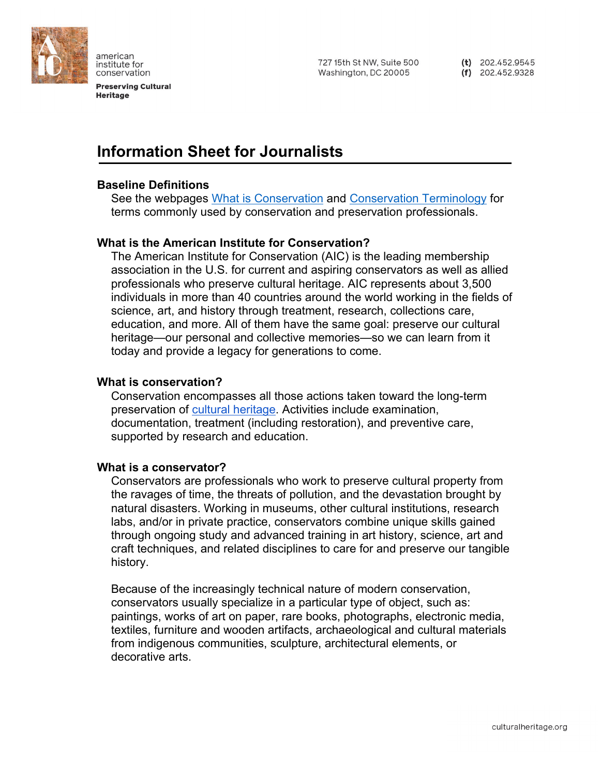

american institute for conservation

**Preserving Cultural Heritage** 

727 15th St NW, Suite 500 Washington, DC 20005

(t)  $202.452.9545$  $(f)$  202.452.9328

# **Information Sheet for Journalists**

# **Baseline Definitions**

See the webpages [What is Conservation](https://www.culturalheritage.org/about-conservation/what-is-conservation) and [Conservation Terminology](https://www.culturalheritage.org/about-conservation/what-is-conservation/definitions) for terms commonly used by conservation and preservation professionals.

## **What is the American Institute for Conservation?**

The American Institute for Conservation (AIC) is the leading membership association in the U.S. for current and aspiring conservators as well as allied professionals who preserve cultural heritage. AIC represents about 3,500 individuals in more than 40 countries around the world working in the fields of science, art, and history through treatment, research, collections care, education, and more. All of them have the same goal: preserve our cultural heritage—our personal and collective memories—so we can learn from it today and provide a legacy for generations to come.

## **What is conservation?**

Conservation encompasses all those actions taken toward the long-term preservation of [cultural heritage.](http://www.unesco.org/new/en/culture/themes/illicit-trafficking-of-cultural-property/unesco-database-of-national-cultural-heritage-laws/frequently-asked-questions/definition-of-the-cultural-heritage/) Activities include examination, documentation, treatment (including restoration), and preventive care, supported by research and education.

## **What is a conservator?**

Conservators are professionals who work to preserve cultural property from the ravages of time, the threats of pollution, and the devastation brought by natural disasters. Working in museums, other cultural institutions, research labs, and/or in private practice, conservators combine unique skills gained through ongoing study and advanced training in art history, science, art and craft techniques, and related disciplines to care for and preserve our tangible history.

Because of the increasingly technical nature of modern conservation, conservators usually specialize in a particular type of object, such as: paintings, works of art on paper, rare books, photographs, electronic media, textiles, furniture and wooden artifacts, archaeological and cultural materials from indigenous communities, sculpture, architectural elements, or decorative arts.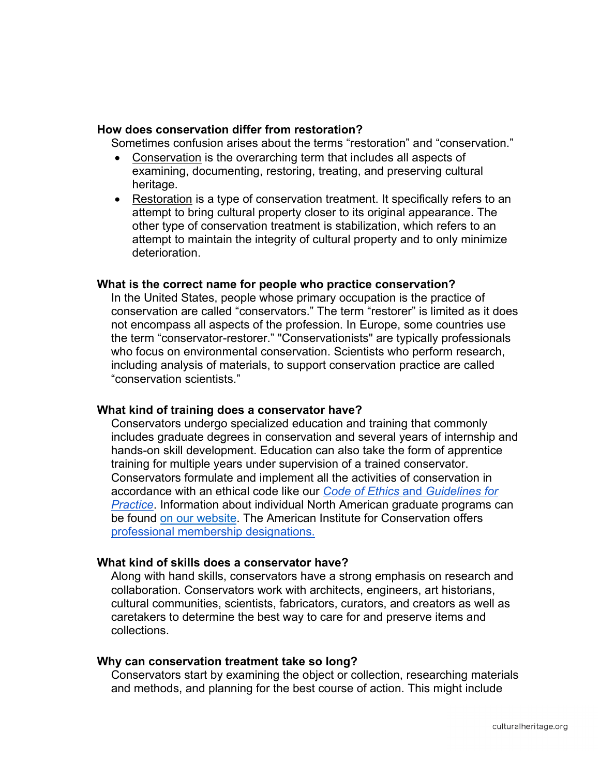## **How does conservation differ from restoration?**

Sometimes confusion arises about the terms "restoration" and "conservation."

- Conservation is the overarching term that includes all aspects of examining, documenting, restoring, treating, and preserving cultural heritage.
- Restoration is a type of conservation treatment. It specifically refers to an attempt to bring cultural property closer to its original appearance. The other type of conservation treatment is stabilization, which refers to an attempt to maintain the integrity of cultural property and to only minimize deterioration.

#### **What is the correct name for people who practice conservation?**

In the United States, people whose primary occupation is the practice of conservation are called "conservators." The term "restorer" is limited as it does not encompass all aspects of the profession. In Europe, some countries use the term "conservator-restorer." "Conservationists" are typically professionals who focus on environmental conservation. Scientists who perform research, including analysis of materials, to support conservation practice are called "conservation scientists."

## **What kind of training does a conservator have?**

Conservators undergo specialized education and training that commonly includes graduate degrees in conservation and several years of internship and hands-on skill development. Education can also take the form of apprentice training for multiple years under supervision of a trained conservator. Conservators formulate and implement all the activities of conservation in accordance with an ethical code like our *[Code of Ethics](http://www.culturalheritage.org/ethics)* [and](http://www.culturalheritage.org/ethics) *[Guidelines for](http://www.culturalheritage.org/ethics)  [Practice](http://www.culturalheritage.org/ethics)*. Information about individual North American graduate programs can be found [on our website.](https://www.culturalheritage.org/about-conservation/become-a-conservator/graduate) The American Institute for Conservation offers [professional membership designations.](https://www.culturalheritage.org/membership/professional-membership)

#### **What kind of skills does a conservator have?**

Along with hand skills, conservators have a strong emphasis on research and collaboration. Conservators work with architects, engineers, art historians, cultural communities, scientists, fabricators, curators, and creators as well as caretakers to determine the best way to care for and preserve items and collections.

#### **Why can conservation treatment take so long?**

Conservators start by examining the object or collection, researching materials and methods, and planning for the best course of action. This might include